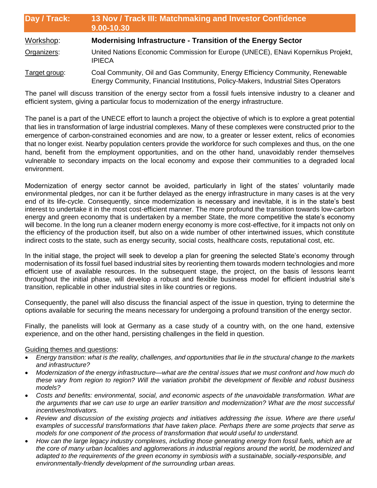| Day / Track:  | 13 Nov / Track III: Matchmaking and Investor Confidence<br>9.00-10.30<br><b>Modernising Infrastructure - Transition of the Energy Sector</b>                         |  |
|---------------|----------------------------------------------------------------------------------------------------------------------------------------------------------------------|--|
| Workshop:     |                                                                                                                                                                      |  |
| Organizers:   | United Nations Economic Commission for Europe (UNECE), ENavi Kopernikus Projekt,<br><b>IPIECA</b>                                                                    |  |
| Target group: | Coal Community, Oil and Gas Community, Energy Efficiency Community, Renewable<br>Energy Community, Financial Institutions, Policy-Makers, Industrial Sites Operators |  |

The panel will discuss transition of the energy sector from a fossil fuels intensive industry to a cleaner and efficient system, giving a particular focus to modernization of the energy infrastructure.

The panel is a part of the UNECE effort to launch a project the objective of which is to explore a great potential that lies in transformation of large industrial complexes. Many of these complexes were constructed prior to the emergence of carbon-constrained economies and are now, to a greater or lesser extent, relics of economies that no longer exist. Nearby population centers provide the workforce for such complexes and thus, on the one hand, benefit from the employment opportunities, and on the other hand, unavoidably render themselves vulnerable to secondary impacts on the local economy and expose their communities to a degraded local environment.

Modernization of energy sector cannot be avoided, particularly in light of the states' voluntarily made environmental pledges, nor can it be further delayed as the energy infrastructure in many cases is at the very end of its life-cycle. Consequently, since modernization is necessary and inevitable, it is in the state's best interest to undertake it in the most cost-efficient manner. The more profound the transition towards low-carbon energy and green economy that is undertaken by a member State, the more competitive the state's economy will become. In the long run a cleaner modern energy economy is more cost-effective, for it impacts not only on the efficiency of the production itself, but also on a wide number of other intertwined issues, which constitute indirect costs to the state, such as energy security, social costs, healthcare costs, reputational cost, etc.

In the initial stage, the project will seek to develop a plan for greening the selected State's economy through modernisation of its fossil fuel based industrial sites by reorienting them towards modern technologies and more efficient use of available resources. In the subsequent stage, the project, on the basis of lessons learnt throughout the initial phase, will develop a robust and flexible business model for efficient industrial site's transition, replicable in other industrial sites in like countries or regions.

Consequently, the panel will also discuss the financial aspect of the issue in question, trying to determine the options available for securing the means necessary for undergoing a profound transition of the energy sector.

Finally, the panelists will look at Germany as a case study of a country with, on the one hand, extensive experience, and on the other hand, persisting challenges in the field in question.

## Guiding themes and questions:

- *Energy transition: what is the reality, challenges, and opportunities that lie in the structural change to the markets and infrastructure?*
- *Modernization of the energy infrastructure—what are the central issues that we must confront and how much do these vary from region to region? Will the variation prohibit the development of flexible and robust business models?*
- *Costs and benefits: environmental, social, and economic aspects of the unavoidable transformation. What are the arguments that we can use to urge an earlier transition and modernization? What are the most successful incentives/motivators.*
- *Review and discussion of the existing projects and initiatives addressing the issue. Where are there useful examples of successful transformations that have taken place. Perhaps there are some projects that serve as models for one component of the process of transformation that would useful to understand.*
- *How can the large legacy industry complexes, including those generating energy from fossil fuels, which are at the core of many urban localities and agglomerations in industrial regions around the world, be modernized and adapted to the requirements of the green economy in symbiosis with a sustainable, socially-responsible, and environmentally-friendly development of the surrounding urban areas.*